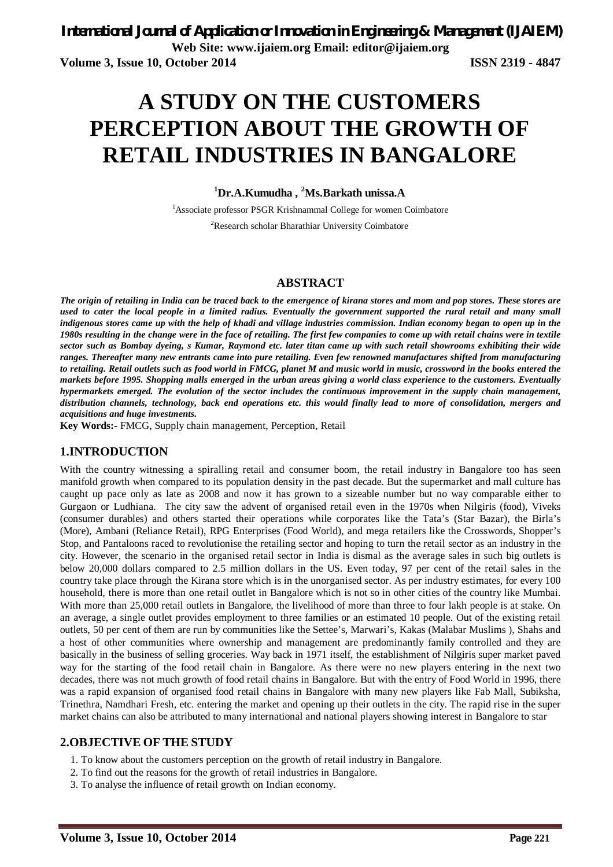# **A STUDY ON THE CUSTOMERS PERCEPTION ABOUT THE GROWTH OF RETAIL INDUSTRIES IN BANGALORE**

# **<sup>1</sup>Dr.A.Kumudha , <sup>2</sup>Ms.Barkath unissa.A**

<sup>1</sup>Associate professor PSGR Krishnammal College for women Coimbatore <sup>2</sup>Research scholar Bharathiar University Coimbatore

#### **ABSTRACT**

*The origin of retailing in India can be traced back to the emergence of kirana stores and mom and pop stores. These stores are used to cater the local people in a limited radius. Eventually the government supported the rural retail and many small indigenous stores came up with the help of khadi and village industries commission. Indian economy began to open up in the 1980s resulting in the change were in the face of retailing. The first few companies to come up with retail chains were in textile sector such as Bombay dyeing, s Kumar, Raymond etc. later titan came up with such retail showrooms exhibiting their wide ranges. Thereafter many new entrants came into pure retailing. Even few renowned manufactures shifted from manufacturing to retailing. Retail outlets such as food world in FMCG, planet M and music world in music, crossword in the books entered the markets before 1995. Shopping malls emerged in the urban areas giving a world class experience to the customers. Eventually hypermarkets emerged. The evolution of the sector includes the continuous improvement in the supply chain management, distribution channels, technology, back end operations etc. this would finally lead to more of consolidation, mergers and acquisitions and huge investments.*

**Key Words:-** FMCG, Supply chain management, Perception, Retail

#### **1.INTRODUCTION**

With the country witnessing a spiralling retail and consumer boom, the retail industry in Bangalore too has seen manifold growth when compared to its population density in the past decade. But the supermarket and mall culture has caught up pace only as late as 2008 and now it has grown to a sizeable number but no way comparable either to Gurgaon or Ludhiana. The city saw the advent of organised retail even in the 1970s when Nilgiris (food), Viveks (consumer durables) and others started their operations while corporates like the Tata's (Star Bazar), the Birla's (More), Ambani (Reliance Retail), RPG Enterprises (Food World), and mega retailers like the Crosswords, Shopper's Stop, and Pantaloons raced to revolutionise the retailing sector and hoping to turn the retail sector as an industry in the city. However, the scenario in the organised retail sector in India is dismal as the average sales in such big outlets is below 20,000 dollars compared to 2.5 million dollars in the US. Even today, 97 per cent of the retail sales in the country take place through the Kirana store which is in the unorganised sector. As per industry estimates, for every 100 household, there is more than one retail outlet in Bangalore which is not so in other cities of the country like Mumbai. With more than 25,000 retail outlets in Bangalore, the livelihood of more than three to four lakh people is at stake. On an average, a single outlet provides employment to three families or an estimated 10 people. Out of the existing retail outlets, 50 per cent of them are run by communities like the Settee's, Marwari's, Kakas (Malabar Muslims ), Shahs and a host of other communities where ownership and management are predominantly family controlled and they are basically in the business of selling groceries. Way back in 1971 itself, the establishment of Nilgiris super market paved way for the starting of the food retail chain in Bangalore. As there were no new players entering in the next two decades, there was not much growth of food retail chains in Bangalore. But with the entry of Food World in 1996, there was a rapid expansion of organised food retail chains in Bangalore with many new players like Fab Mall, Subiksha, Trinethra, Namdhari Fresh, etc. entering the market and opening up their outlets in the city. The rapid rise in the super market chains can also be attributed to many international and national players showing interest in Bangalore to star

#### **2.OBJECTIVE OF THE STUDY**

- 1. To know about the customers perception on the growth of retail industry in Bangalore.
- 2. To find out the reasons for the growth of retail industries in Bangalore.
- 3. To analyse the influence of retail growth on Indian economy.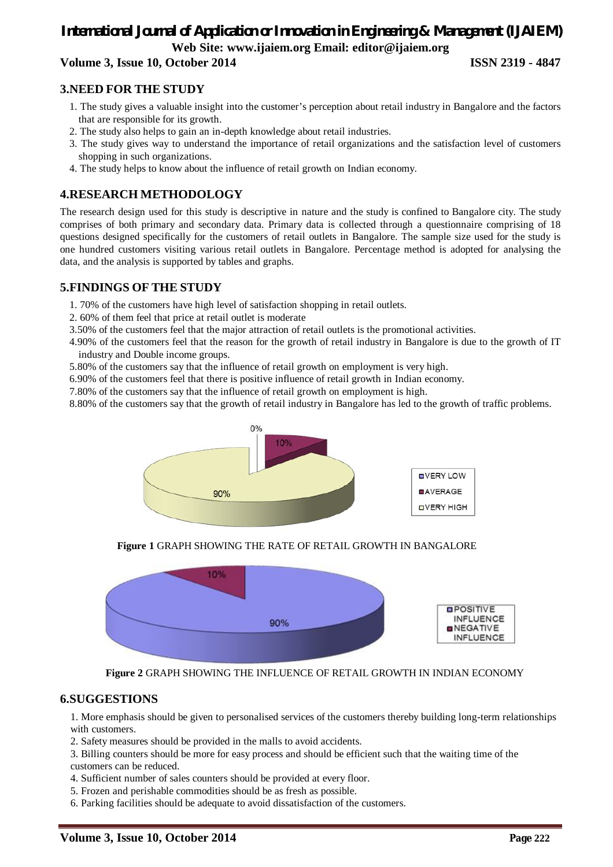# *International Journal of Application or Innovation in Engineering & Management (IJAIEM)* **Web Site: www.ijaiem.org Email: editor@ijaiem.org**

# **Volume 3, Issue 10, October 2014 ISSN 2319 - 4847**

### **3.NEED FOR THE STUDY**

- 1. The study gives a valuable insight into the customer's perception about retail industry in Bangalore and the factors that are responsible for its growth.
- 2. The study also helps to gain an in-depth knowledge about retail industries.
- 3. The study gives way to understand the importance of retail organizations and the satisfaction level of customers shopping in such organizations.
- 4. The study helps to know about the influence of retail growth on Indian economy.

# **4.RESEARCH METHODOLOGY**

The research design used for this study is descriptive in nature and the study is confined to Bangalore city. The study comprises of both primary and secondary data. Primary data is collected through a questionnaire comprising of 18 questions designed specifically for the customers of retail outlets in Bangalore. The sample size used for the study is one hundred customers visiting various retail outlets in Bangalore. Percentage method is adopted for analysing the data, and the analysis is supported by tables and graphs.

### **5.FINDINGS OF THE STUDY**

- 1. 70% of the customers have high level of satisfaction shopping in retail outlets.
- 2. 60% of them feel that price at retail outlet is moderate
- 3.50% of the customers feel that the major attraction of retail outlets is the promotional activities.
- 4.90% of the customers feel that the reason for the growth of retail industry in Bangalore is due to the growth of IT industry and Double income groups.
- 5.80% of the customers say that the influence of retail growth on employment is very high.
- 6.90% of the customers feel that there is positive influence of retail growth in Indian economy.
- 7.80% of the customers say that the influence of retail growth on employment is high.
- 8.80% of the customers say that the growth of retail industry in Bangalore has led to the growth of traffic problems.



**Figure 1** GRAPH SHOWING THE RATE OF RETAIL GROWTH IN BANGALORE



**Figure 2** GRAPH SHOWING THE INFLUENCE OF RETAIL GROWTH IN INDIAN ECONOMY

#### **6.SUGGESTIONS**

1. More emphasis should be given to personalised services of the customers thereby building long-term relationships with customers.

- 2. Safety measures should be provided in the malls to avoid accidents.
- 3. Billing counters should be more for easy process and should be efficient such that the waiting time of the customers can be reduced.
- 4. Sufficient number of sales counters should be provided at every floor.
- 5. Frozen and perishable commodities should be as fresh as possible.
- 6. Parking facilities should be adequate to avoid dissatisfaction of the customers.